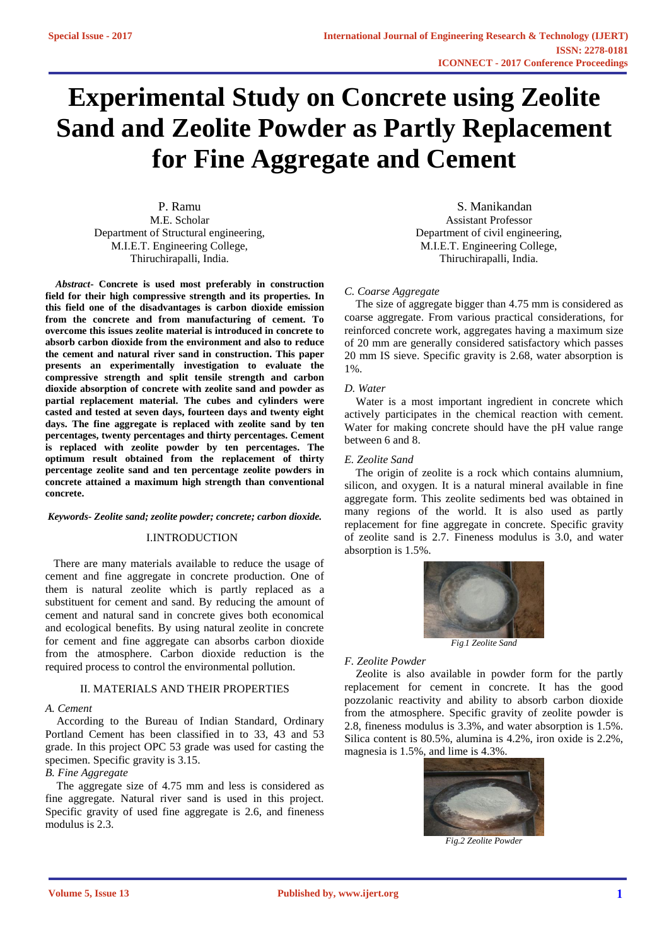# **Experimental Study on Concrete using Zeolite Sand and Zeolite Powder as Partly Replacement for Fine Aggregate and Cement**

P. Ramu M.E. Scholar Department of Structural engineering, M.I.E.T. Engineering College, Thiruchirapalli, India.

 *Abstract***- Concrete is used most preferably in construction field for their high compressive strength and its properties. In this field one of the disadvantages is carbon dioxide emission from the concrete and from manufacturing of cement. To overcome this issues zeolite material is introduced in concrete to absorb carbon dioxide from the environment and also to reduce the cement and natural river sand in construction. This paper presents an experimentally investigation to evaluate the compressive strength and split tensile strength and carbon dioxide absorption of concrete with zeolite sand and powder as partial replacement material. The cubes and cylinders were casted and tested at seven days, fourteen days and twenty eight days. The fine aggregate is replaced with zeolite sand by ten percentages, twenty percentages and thirty percentages. Cement is replaced with zeolite powder by ten percentages. The optimum result obtained from the replacement of thirty percentage zeolite sand and ten percentage zeolite powders in concrete attained a maximum high strength than conventional concrete.**

#### *Keywords- Zeolite sand; zeolite powder; concrete; carbon dioxide.*

# I.INTRODUCTION

 There are many materials available to reduce the usage of cement and fine aggregate in concrete production. One of them is natural zeolite which is partly replaced as a substituent for cement and sand. By reducing the amount of cement and natural sand in concrete gives both economical and ecological benefits. By using natural zeolite in concrete for cement and fine aggregate can absorbs carbon dioxide from the atmosphere. Carbon dioxide reduction is the required process to control the environmental pollution.

# II. MATERIALS AND THEIR PROPERTIES

## *A. Cement*

 According to the Bureau of Indian Standard, Ordinary Portland Cement has been classified in to 33, 43 and 53 grade. In this project OPC 53 grade was used for casting the specimen. Specific gravity is 3.15.

# *B. Fine Aggregate*

 The aggregate size of 4.75 mm and less is considered as fine aggregate. Natural river sand is used in this project. Specific gravity of used fine aggregate is 2.6, and fineness modulus is 2.3.

 S. Manikandan Assistant Professor Department of civil engineering, M.I.E.T. Engineering College, Thiruchirapalli, India.

# *C. Coarse Aggregate*

 The size of aggregate bigger than 4.75 mm is considered as coarse aggregate. From various practical considerations, for reinforced concrete work, aggregates having a maximum size of 20 mm are generally considered satisfactory which passes 20 mm IS sieve. Specific gravity is 2.68, water absorption is 1%.

# *D. Water*

 Water is a most important ingredient in concrete which actively participates in the chemical reaction with cement. Water for making concrete should have the pH value range between 6 and 8.

# *E. Zeolite Sand*

 The origin of zeolite is a rock which contains alumnium, silicon, and oxygen. It is a natural mineral available in fine aggregate form. This zeolite sediments bed was obtained in many regions of the world. It is also used as partly replacement for fine aggregate in concrete. Specific gravity of zeolite sand is 2.7. Fineness modulus is 3.0, and water absorption is 1.5%.



*Fig.1 Zeolite Sand*

#### *F. Zeolite Powder*

 Zeolite is also available in powder form for the partly replacement for cement in concrete. It has the good pozzolanic reactivity and ability to absorb carbon dioxide from the atmosphere. Specific gravity of zeolite powder is 2.8, fineness modulus is 3.3%, and water absorption is 1.5%. Silica content is 80.5%, alumina is 4.2%, iron oxide is 2.2%, magnesia is 1.5%, and lime is 4.3%.



*Fig.2 Zeolite Powder*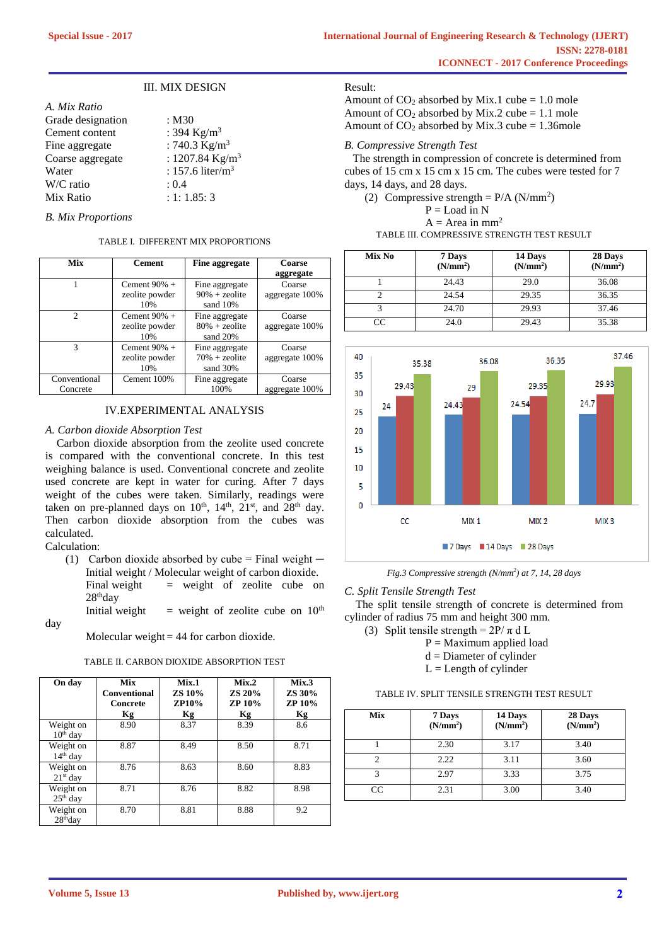# III. MIX DESIGN

| A. Mix Ratio      |                             |
|-------------------|-----------------------------|
| Grade designation | : M30                       |
| Cement content    | : 394 Kg/m <sup>3</sup>     |
| Fine aggregate    | : 740.3 $Kg/m^3$            |
| Coarse aggregate  | : 1207.84 Kg/m <sup>3</sup> |
| Water             | : 157.6 liter/ $m3$         |
| W/C ratio         | : 0.4                       |
| Mix Ratio         | : 1: 1.85: 3                |
|                   |                             |

#### *B. Mix Proportions*

#### TABLE I. DIFFERENT MIX PROPORTIONS

| Mix           | <b>Cement</b>   | Fine aggregate    | Coarse         |
|---------------|-----------------|-------------------|----------------|
|               |                 |                   | aggregate      |
|               | Cement $90\% +$ | Fine aggregate    | Coarse         |
|               | zeolite powder  | $90\% + z$ eolite | aggregate 100% |
|               | 10%             | sand 10%          |                |
| $\mathcal{D}$ | Cement $90\%$ + | Fine aggregate    | Coarse         |
|               | zeolite powder  | $80% + z$ eolite  | aggregate 100% |
|               | 10%             | sand 20%          |                |
| 3             | Cement $90\% +$ | Fine aggregate    | Coarse         |
|               | zeolite powder  | $70% + z$ eolite  | aggregate 100% |
|               | 10%             | sand 30%          |                |
| Conventional  | Cement 100%     | Fine aggregate    | Coarse         |
| Concrete      |                 | 100%              | aggregate 100% |

# IV.EXPERIMENTAL ANALYSIS

#### *A. Carbon dioxide Absorption Test*

 Carbon dioxide absorption from the zeolite used concrete is compared with the conventional concrete. In this test weighing balance is used. Conventional concrete and zeolite used concrete are kept in water for curing. After 7 days weight of the cubes were taken. Similarly, readings were taken on pre-planned days on  $10^{th}$ ,  $14^{th}$ ,  $21^{st}$ , and  $28^{th}$  day. Then carbon dioxide absorption from the cubes was calculated.

Calculation:

(1) Carbon dioxide absorbed by cube = Final weight  $-$ Initial weight / Molecular weight of carbon dioxide. Final weight  $=$  weight of zeolite cube on

28<sup>th</sup>day Initial weight  $=$  weight of zeolite cube on  $10^{th}$ 

day

Molecular weight  $= 44$  for carbon dioxide.

#### TABLE II. CARBON DIOXIDE ABSORPTION TEST

| On day                  | <b>Mix</b><br><b>Conventional</b><br>Concrete<br>Кg | Mix.1<br>ZS 10%<br><b>ZP10%</b><br>Кg | Mix.2<br>ZS 20%<br><b>ZP 10%</b><br>Kg | Mix.3<br>ZS 30%<br><b>ZP 10%</b><br>Кg |
|-------------------------|-----------------------------------------------------|---------------------------------------|----------------------------------------|----------------------------------------|
| Weight on<br>$10th$ day | 8.90                                                | 8.37                                  | 8.39                                   | 8.6                                    |
| Weight on<br>$14th$ day | 8.87                                                | 8.49                                  | 8.50                                   | 8.71                                   |
| Weight on<br>$21st$ day | 8.76                                                | 8.63                                  | 8.60                                   | 8.83                                   |
| Weight on<br>$25th$ day | 8.71                                                | 8.76                                  | 8.82                                   | 8.98                                   |
| Weight on<br>$28th$ day | 8.70                                                | 8.81                                  | 8.88                                   | 9.2                                    |

#### Result:

Amount of  $CO_2$  absorbed by Mix.1 cube = 1.0 mole Amount of  $CO_2$  absorbed by Mix.2 cube = 1.1 mole Amount of  $CO_2$  absorbed by Mix.3 cube = 1.36mole

## *B. Compressive Strength Test*

The strength in compression of concrete is determined from cubes of 15 cm x 15 cm x 15 cm. The cubes were tested for 7 days, 14 days, and 28 days.

(2) Compressive strength =  $P/A (N/mm^2)$  $P =$ Load in N  $A = Area in mm<sup>2</sup>$ TABLE III. COMPRESSIVE STRENGTH TEST RESULT

| Mix No | 7 Days<br>(N/mm <sup>2</sup> ) | 14 Days<br>(N/mm <sup>2</sup> ) | 28 Days<br>(N/mm <sup>2</sup> ) |
|--------|--------------------------------|---------------------------------|---------------------------------|
|        | 24.43                          | 29.0                            | 36.08                           |
|        | 24.54                          | 29.35                           | 36.35                           |
|        | 24.70                          | 29.93                           | 37.46                           |
| CC.    | 24.0                           | 29.43                           | 35.38                           |



*Fig.3 Compressive strength (N/mm<sup>2</sup> ) at 7, 14, 28 days*

*C. Split Tensile Strength Test*

 The split tensile strength of concrete is determined from cylinder of radius 75 mm and height 300 mm.

- (3) Split tensile strength =  $2P/\pi d L$ 
	- $P =$ Maximum applied load
	- $d =$ Diameter of cylinder
	- $L =$ Length of cylinder

# TABLE IV. SPLIT TENSILE STRENGTH TEST RESULT

| Mix | 7 Days<br>(N/mm <sup>2</sup> ) | 14 Days<br>(N/mm <sup>2</sup> ) | 28 Days<br>(N/mm <sup>2</sup> ) |
|-----|--------------------------------|---------------------------------|---------------------------------|
|     | 2.30                           | 3.17                            | 3.40                            |
|     | 2.22                           | 3.11                            | 3.60                            |
| 3   | 2.97                           | 3.33                            | 3.75                            |
| CC  | 2.31                           | 3.00                            | 3.40                            |